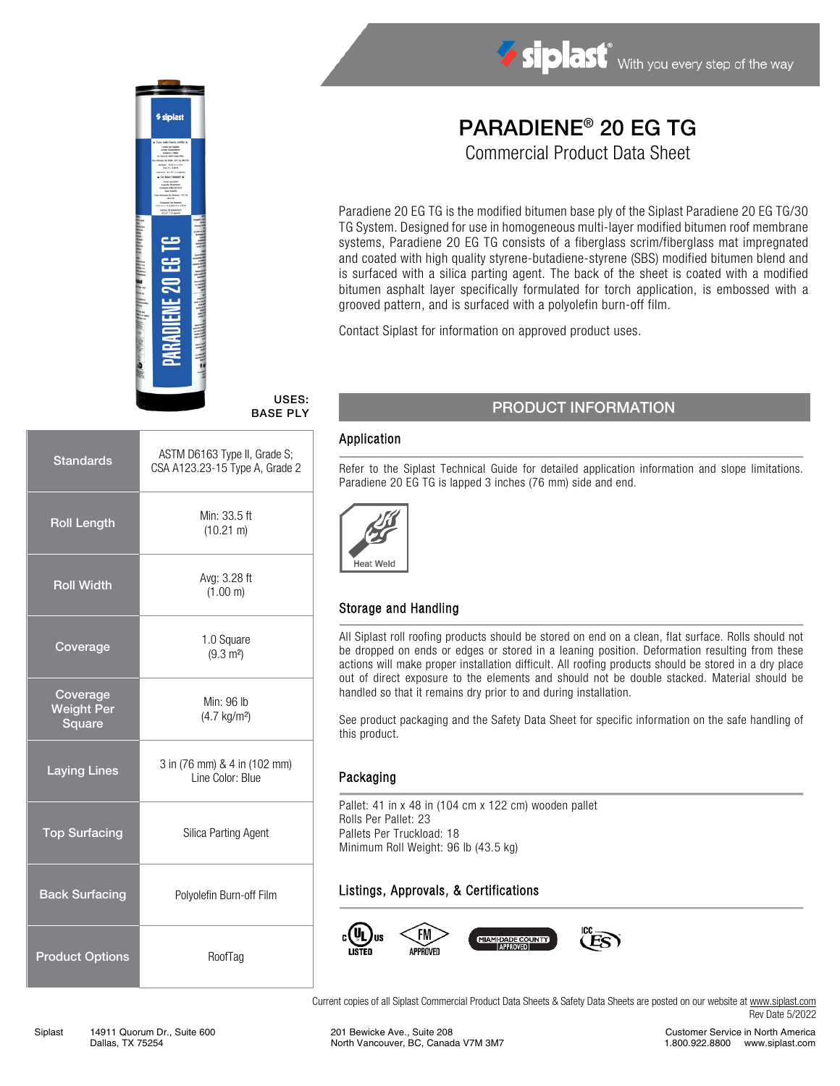

# USES:

| <b>Standards</b>                        | ASTM D6163 Type II, Grade S;<br>CSA A123.23-15 Type A, Grade 2 |  |
|-----------------------------------------|----------------------------------------------------------------|--|
| <b>Roll Length</b>                      | Min: 33.5 ft<br>$(10.21 \text{ m})$                            |  |
| <b>Roll Width</b>                       | Avg: 3.28 ft<br>(1.00 m)                                       |  |
| Coverage                                | 1.0 Square<br>$(9.3 \text{ m}^2)$                              |  |
| Coverage<br><b>Weight Per</b><br>Square | Min: 96 lb<br>$(4.7 \text{ kg/m}^2)$                           |  |
| <b>Laying Lines</b>                     | 3 in (76 mm) & 4 in (102 mm)<br>Line Color: Blue               |  |
| <b>Top Surfacing</b>                    | Silica Parting Agent                                           |  |
| <b>Back Surfacing</b>                   | Polyolefin Burn-off Film                                       |  |
| <b>Product Options</b>                  | RoofTag                                                        |  |

# PARADIENE® 20 EG TG

Siplast With you every step of the way

Commercial Product Data Sheet

Paradiene 20 EG TG is the modified bitumen base ply of the Siplast Paradiene 20 EG TG/30 TG System. Designed for use in homogeneous multi-layer modified bitumen roof membrane systems, Paradiene 20 EG TG consists of a fiberglass scrim/fiberglass mat impregnated and coated with high quality styrene-butadiene-styrene (SBS) modified bitumen blend and is surfaced with a silica parting agent. The back of the sheet is coated with a modified bitumen asphalt layer specifically formulated for torch application, is embossed with a grooved pattern, and is surfaced with a polyolefin burn-off film.

Contact Siplast for information on approved product uses.

### USES:<br>BASE PLY PRODUCT INFORMATION

#### Application

Refer to the Siplast Technical Guide for detailed application information and slope limitations. Paradiene 20 EG TG is lapped 3 inches (76 mm) side and end.



#### Storage and Handling

All Siplast roll roofing products should be stored on end on a clean, flat surface. Rolls should not be dropped on ends or edges or stored in a leaning position. Deformation resulting from these actions will make proper installation difficult. All roofing products should be stored in a dry place out of direct exposure to the elements and should not be double stacked. Material should be handled so that it remains dry prior to and during installation.

See product packaging and the Safety Data Sheet for specific information on the safe handling of this product.

#### Packaging

Pallet: 41 in x 48 in (104 cm x 122 cm) wooden pallet Rolls Per Pallet: 23 Pallets Per Truckload: 18 Minimum Roll Weight: 96 lb (43.5 kg)

#### Listings, Approvals, & Certifications



Current copies of all Siplast Commercial Product Data Sheets & Safety Data Sheets are posted on our website at [www.siplast.com](http://www.siplast.com/) Rev Date 5/2022

Customer Service in North America 1.800.922.8800 www.siplast.com